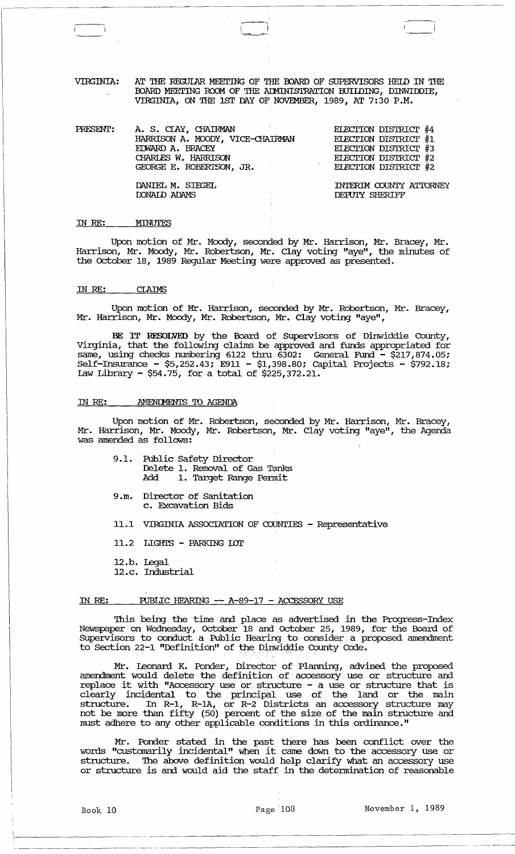VIRGINIA: AT THE REGUIAR MEETING OF THE BOARD OF SUPERVISORS HELD IN THE BOARD MEETING ROOM OF THE ADMINISTRATION BUILDING, DINWIDDIE, VIRGINIA, ON THE 1ST DAY OF NOVEMBER, 1989, AT 7:30 P.M.

--,  $\sqrt{ }$ 

| PRESENT: | A. S. CIAY, CHAIRMAN<br>HARRISON A. MOODY, VICE-CHAIRMAN<br>EDWARD A. BRACEY<br>CHARLES W. HARRISON<br>GEORGE E. ROBERTSON, JR. | ELECTION DISTRICT #4<br>ELECTION DISTRICT #1<br>ELECTION DISTRICT #3<br>ELECTION DISTRICT #2<br>ELECTION DISTRICT #2 |
|----------|---------------------------------------------------------------------------------------------------------------------------------|----------------------------------------------------------------------------------------------------------------------|
|          | DANIEL M. SIEGEL<br><b>DONAID ADAMS</b>                                                                                         | INTERIM COUNTY ATTORNEY<br>DEPUTY SHERIFF                                                                            |

# IN *RE:*  MINUTES

Upon motion of Mr. Moody, seconded by Mr. Harrison, Mr. Bracey, Mr. Harrison, Mr. Moody, Mr. Robertson, Mr. Clay voting "aye", the minutes of the October 18, 1989 Regular Meeting were approved as presented.

## IN *RE:* CIAIMS

Upon motion of Mr. Harrison, seconded by Mr. Robertson, Mr. Bracey, Mr. Harrison, Mr. Moody, Mr. Robertson, Mr. Clay voting "aye",

BE IT RESOLVED by the Board of SUpervisors of Dinwiddie County, Virginia, that the following claims be approved and funds appropriated for same, using checks numbering 6122 thru. 6302: General Fund - \$217,874.05; Self-Insurance - \$5,252.43; E911 - \$1,398.80; Capital Projects - \$792.18; Law Library - \$54.75, for a total of \$225,372.21.

## IN RE: AMENDMENTS TO AGENDA

Upon motion of Mr. Robertson, seconded by Mr. Harrison, Mr. Bracey, Mr. Harrison, Mr. Moody, Mr. Robertson, Mr. Clay voting "aye", the Agenda was amended as follows: .

|     | 9.1. Public Safety Director    |  |
|-----|--------------------------------|--|
|     | Delete 1. Removal of Gas Tanks |  |
| Add | 1. Target Range Permit         |  |

- 9.m. Director of Sanitation c. Excavation Bids
- 11.1 VIRGINIA ASSOCIATION OF COUNTIES Representative
- 11.2 LIGHTS PARKING LOT
- 12.b. legal
- 12.c. Industrial

#### IN RE: PUBLIC HEARING -- A-89-17 - ACCESSORY USE

This being the time and place as advertised in the Progress-Index Newspaper on Wednesday, October 18 and October 25, 1989, for the Board of SUpervisors to conduct a Public Hearing to consider a proposed amendment to Section 22-1 "Definition" of the Dinwiddie County Code.

Mr. leonard K. Ponder, Director of Planning, advised the proposed amendment would delete the definition of accessory use or structure and replace it with "Accessory use or structure - a use or structure that is clearly incidental to the principal use of the land or the main structure. In R-1, R-lA, or R-2 Districts an accessory structure may not be more than fifty (50) percent of the size of the main structure and must adhere to any other applicable conditions in this ordinance."

Mr. Ponder stated in the past there has been conflict over the words "customarily incidental" when it. came down to the accessory use or structure. The above definition would help clarify what an accessory use or structure is and would aid the staff; in the detennination of reasonable

 $r_{\rm r}$  ,  $r_{\rm r}$  ,  $r_{\rm r}$  ,  $r_{\rm r}$  ,  $r_{\rm r}$  ,  $r_{\rm r}$  ,  $r_{\rm r}$  ,  $r_{\rm r}$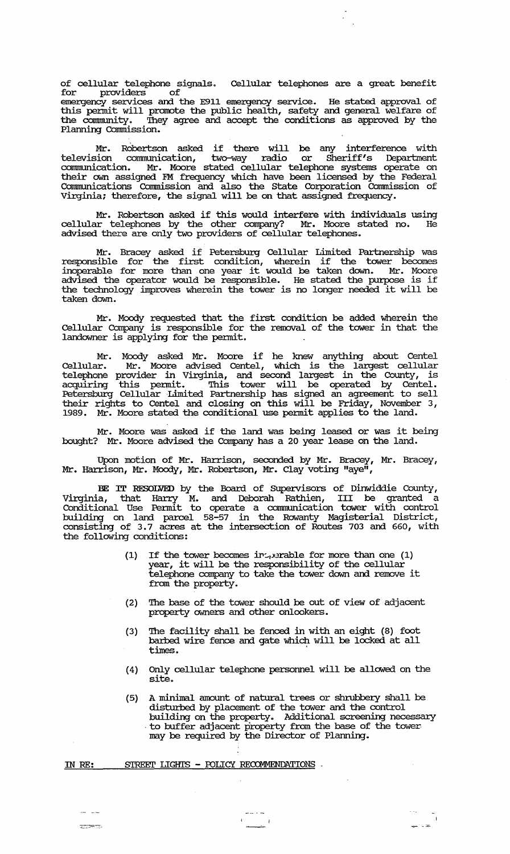of cellular telephone signals. Cellular telephones are a great benefit for providers of

 $\mathbb{Z}_{\geq 0}$ 

emergency services and the E911 emergency service. He stated approval of this pennit will promote the public health, safety and general welfare of the community. They agree and accept the conditions as approved by the Planning Commission.

Mr. Robertson asked if there will be any interference with television communication, two-way radio or Sheriff's Department comrm.mication. Mr. Moore stated cellular telephone systems operate on their own assigned FM frequency which have been licensed by the Federal Communications Commission and also the State Corporation Commission of Virginia; therefore, the signal will be on that assigned frequency.

Mr. Robertson asked if this would interfere with individuals using cellular telephones by the other company? Mr. Moore stated no. He advised there are only two providers of cellular telephones.

Mr. Bracey asked if Petersburg Cellular Limited Partnership was responsible for the first condition, wherein if the tower becomes inoperable for more than one year it would be taken down. Mr. Moore advised the operator would be responsible. He stated the purpose is if advised the operator would be responsible. He stated the purpose is if taken down.

Mr. Moody requested that the first condition be added wherein the Cellular Company is responsible for the removal of the tower in that the landowner is applying for the pennit.

Mr. Moody asked Mr. Moore if he knew anything about Centel Cellular. Mr. Moore advised Centel, which is the largest cellular telephone provider in Virginia, and second largest in the County, is acquiring this permit. This tower will be operated by Centel. Petersburg Cellular Limited Partnership has signed an agreement to sell their rights to Centel and closing on this will be Friday, November 3, 1989. Mr. Moore stated the conditional use pennit applies to the land.

Mr. Moore was asked if the land was being leased or was it being bought? Mr. Moore advised the Company has a 20 year lease on the land.

Upon motion of Mr. Harrison, seconded by Mr. Bracey, Mr. Bracey, Mr. Harrison, Mr. Moody, Mr. Robertson, Mr. Clay voting "aye",

BE IT RESOLVED by the Board of SUpervisors of Dinwiddie County, Virginia, that Harry M. and Deborah Rathien, III be granted a Conditional Use Permit to operate a communication tower with control building on land parcel 58-57 in the Rowanty Magisterial District, consisting of 3.7 acres at the intersection of Routes 703 and 660, with the following conditions:

- (1) If the tower becomes interable for more than one (1) It the tower becomes Industrialle for more than one (I<br>year, it will be the responsibility of the cellular telephone company to take the tower down and remove it from the property.
- (2) '!he base of the tower should be out of view of adjacent property owners and other onlookers.
- (3) '!he facility shall be fenced in with an eight (8) foot barbed wire fence and gate which will be locked at all times.
- (4) Only cellular telephone personnel will be allowed on the site.
- (5) A minimal amount of natural trees or shrubbery shall be distm:bed by placement of the tower and the control building on the property. Additional screening necessary<br>to buffer adjacent property from the base of the tower may be required by the Director of Planning.

,~

IN RE: STREET LIGHTS - POLICY RECOMMENDATIONS .

سائل المسا **INSP**RE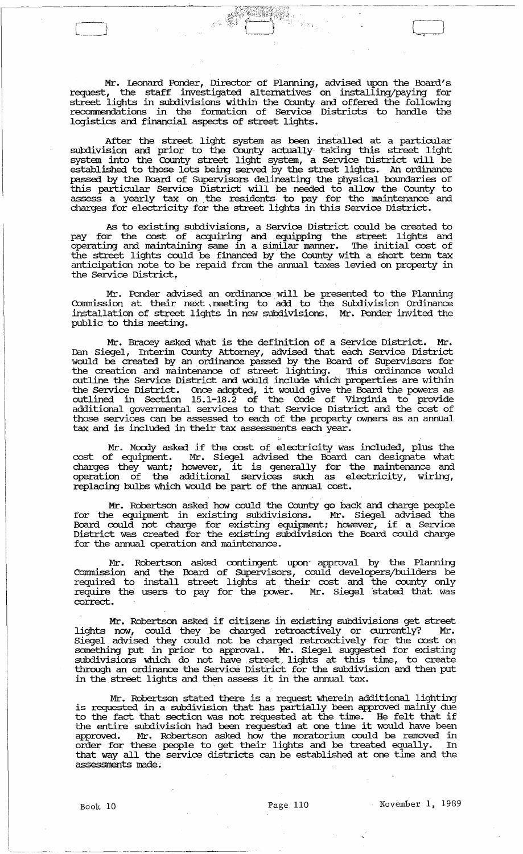Mr. Leonard Ponder, Director of Planning, advised upon the Board's request, the staff investigated alternatives on installing/paying for street lights in subdivisions within the County and offered the following recommendations in the fonnation of service Districts to handle the logistics and financial aspects of street lights.

After the street light system as been installed at a particular subdivision and prior to the County actually· taking this street light system into the County street light system, a service District will be established to those lots being served by the street lights. An ordinance passed by the Board of SUpervisors delineating the physical boundaries of this particular service District will be needed to allow the County to assess a yearly tax on the residents to pay for the maintenance and charges for electricity for the street lights in this service District.

As to existing subdivisions, a Service District could be created to pay for the cost of acquiring and equipping the street lights and operating and maintaining same in a similar manner. The initial cost of the street lights could be financed by the County with a short tenn tax anticipation note to be repaid from the annual taxes levied on property in the Service District.

Mr. Ponder advised an ordinance, will be presented to the Planning Commission at their next \ meeting to add to the Subdivision Ordinance installation of street lights in new subdivisions. Mr. Ponder invited the public to this meeting.

Mr. Bracey asked what is the definition of a service District. Mr. Dan Siegel, Interim County Attorney, advised that each service District would be created by an ordinance passed by the Board of SUpervisors for the creation and maintenance of street lighting. This ordinance would outline the Service District and would include which properties are within outline the service District and would include which properties are widing outlined in Section 15.1-18.2 of the Code of Vivginia to provide additional goverrnnental services to that service District and the cost of those services can be assessed to each of the property owners as an annual tax and is included in their tax assessments each year.

Mr. Moody asked if the cost of electricity Was included, plus the cost of equipment. Mr. Siegel advised the Board can designate what charges they want; however, it is generally for the maintenance and operation of the additional services such as electricity, wiring, replacing bulbs which would be part of the annual cost.

Mr. Robertson asked how could the County go back and charge people for the equipment in existing subdivisions. Mr. Siegel advised the Board could not charge for existing equipment; however, if a Service District was created for the existing subdivision the Board could charge for the annual operation and maintenance.

Mr. Robertson asked contingent upon' approval by the Planning Commission and the Board of Supervisors, could developers/builders be required to install street lights at their cost and the county only require the users to pay for the power. Mr. Siegel stated that was correct.

Mr. Robertson asked if citizens in existing subdivisions get street lights now, could they be charged retroactively or currently? Mr. Siegel advised they could not be charged retroactively for the cost on something put in prior to approval. Mr. Siegel suggested for existing subdivisions which do not have street, lights at this time, to create through an ordinance the Service District for the subdivision and then put in the street lights and then assess it in the annual tax.

Mr. Robertson stated there is. a request wherein additional lighting is requested in a subdivision that has partially been approved mainly due to the fact that section was not requested at the time. He felt that if to the ract that section was not requested at the time. He felt that if<br>the entire subdivision had been requested at one time it would have been approved. Mr. Robertson asked how the moratorium could be removed in order for these· people to get their lights and be treated equally. In that way all the service districts can be established at one time and the assessments made.

Book 10 **Page 110** Page 110 **November 1, 1989**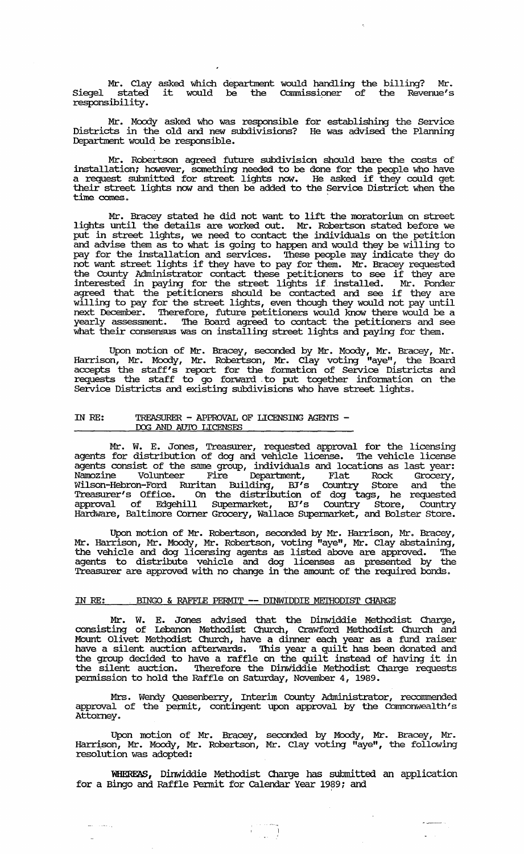Mr. Clay asked which department would handling the billing? Mr.<br>Siegel stated it would be the Commissioner of the Revenue's Siegel stated<br>responsibility.

Mr. Moody asked who was responsible for establishing the Service Districts in the old and new subdivisions? He was advised the Planning Department would be responsible.

Mr. Robertson agreed. future subdivision should bare the costs of installation; however, something needed to be done for the people who have a request submitted for street lights now. He asked if they could get their street lights now and then be added to the Service District when the time comes.

Mr. Bracey stated he did not want to lift the moratorimn on street lights until the details are worked out. Mr. Robertson stated before we put in street lights, we need to contact the individuals on the petition and advise them as to what is going to happen and would they be willing to pay for the installation and services. '!hese people may indicate they do pay for the installation and services. These people may indicate they do<br>not want street lights if they have to pay for them. Mr. Bracey requested the County Administrator contact these petitioners to see if they are interested in paying for the street lights if installed. Mr. Ponder agreed that the petitioners should be contacted and see if they are willing to pay for the street lights, even though they would not pay until next December. '!herefore, future petitioners would know there would be a yearly assessment. '!he Board agreed to contact the petitioners and see what their consensus was on installing street lights and paying for them.

Upon motion of Mr. Bracey, seconded by Mr. Moody, Mr. Bracey, Mr. Harrison, Mr. Moody, Mr. Robertson, Mr. Clay voting "aye", the Board accepts the staff's report for the fonnation of service Districts and requests the staff to go forward. to put together infonnation on the Service Districts and existing subdivisions who have street lights.

## IN RE: TREASURER - APPROVAL OF LICENSING AGENTS - DOG AND AUTO LICENSES

Mr. W. E. Jones, Treasurer, requested approval for the licensing agents for distribution of dog and vehicle license. The vehicle license agents consist of the same group, individuals and locations as last year: Namozine Volunteer Fire Department, Flat Rock Grocery, Wilson-Hebron-Ford Ruritan Building, BT's Country ptore and the Treasurer's Office. On the distribution of dog tags, he requested approval of Edgehill Supennarket, BT's Country Store, Country Hardware, Baltimore Comer Grocery, Wallace Supennarket, and Bolster Store.

Upon motion of Mr. Robertson, seconded by Mr. Harrison, Mr. Bracey, Mr. Harrison, Mr. Moody, Mr. Robertson, voting "ayeli , Mr. Clay abstaining, the vehicle and dog licensing agents as listed above are approved. '!he agents to distribute vehicle and dog licenses as presented by the Treasurer are approved with no change in the amount of the required bonds.

## IN RE: BINGO & RAFFLE PERMIT -- DINWIDDIE METHODIST CHARGE

Mr. W. E. Jones advised that the Dinwiddie Methodist Charge, consisting of lebanon Methodist Church, Crawford Methodist Church and Mount Olivet Methodist Church, have a dinner each year as a fund raiser have a silent auction afterwards. This year a quilt has been donated and the group decided to have a raffle on the quilt instead of having it in the silent auction. '!herefore the DinWiddie Methodist Charge requests permission to hold the Raffle on Saturday, November 4, 1989.

Mrs. Wendy Quesenberry, Interim County Administrator, recommended approval of the permit, contingent upon approval by the Commonwealth's Attorney.

Upon motion of Mr. Bracey, seconded by Moody, Mr. Bracey, Mr. Harrison, Mr. Moody, Mr. Robertson, Mr. Clay voting "aye", the following resolution was adopted:

WHEREAS, Dinwiddie Methodist Charge has submitted an application for a Bingo and Raffle Permit for Calendar Year 1989; and

 $\Delta \sim 10^4$ 

أوراءهما أأنتفذ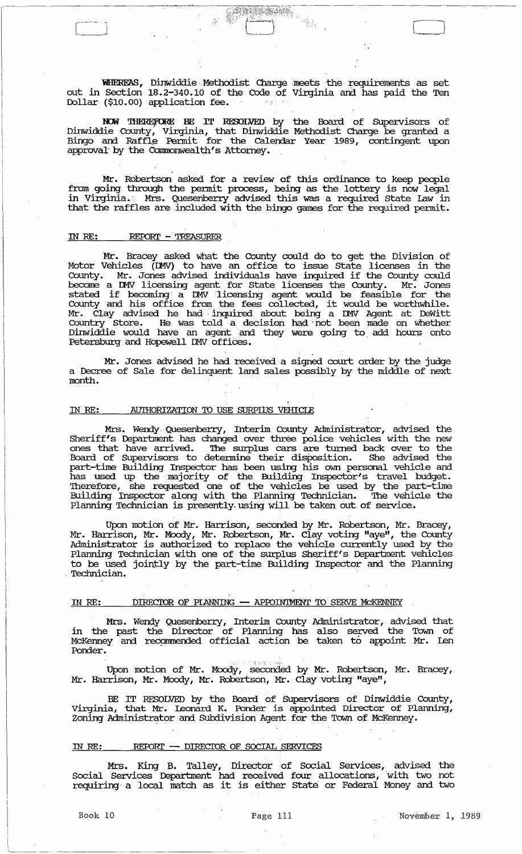WHEREAS, Dinwiddie Methodist Charge meets the requirements as set out in Section 18.2-340.10 of the Code of Virginia and has paid the Ten Dollar (\$10.00) application fee.

 $\frac{1}{\sqrt{2}}$ 

NOW THEREFORE BE IT RESOLVED by the Board of Supervisors of Dinwiddie County, Virginia, that Dinwiddie Methodist Charge be granted a Bingo and Raffle Permit for the Calendar Year 1989, contingent upon approval by the Commonwealth's Attorney.

Mr. Robertson asked for a review of this ordinance to keep people from going through the pennit process, being as the lottery is now legal in Virginia. Mrs. Quesenberry advised this was a required State Law in that the raffles are included with the bingo games for the required pennit.

# IN RE: REPORT - TREASURER

[

 $-1$  $\Box$ 

Mr. Bracey asked what the County could do to get the Division of Motor Vehicles (DMV) to have an office to issue State licenses in the County. Mr. Jones advised individuals have inquired if the County could become a DMV licensing agent for State licenses the County. Mr. Jones stated if becoming a DMV licensing agent would be feasible for the County and his office from the fees collected, it would be worthwhile. Mr. Clay advised he had inquired about being a DMV Agent at DeWitt Country store. He was told a decision had -not been made on whether Dinwiddie would have an agent and they were going to, add hours onto Petersburg and Hopewell DMV offices.

Mr. Jones advised he had received a signed court order by the judge a Decree of Sale for delinquent land sales possibly by the middle of next month.

# IN RE: AU'IHORIZATION 'ID USE SURPiliS VEHICLE

Mrs. Wendy, Quesenberry, Interim County Administrator, advised the Sheriff's Department has changed over three police vehicles with the new ones that have arrived. The surplus cars are turned back over to the Board of Supervisors to determine their disposition. She advised the part-time Building Inspector has been using his own personal vehicle and has used up the majority of the Building Inspector's travel budget. Therefore, she requested one of the vehicles be used by the part-time Building Inspector along with the Planning Technician., The vehicle the Planning Technician is presently- using will be taken out of service.

Upon motion of Mr. Harrison, seconded by Mr. Robertson, Mr. Bracey, Mr. Harrison, Mr. Moody, Mr. Robertson, Mr. Clay voting "aye", the County Administrator is authorized to replace the vehicle currently used by the Planning Technician with one of the surplus Sheriff's Department vehicles to be used jointly by the part-time Building Inspector and the Planning Technician.

## IN RE: DIRECIDR OF PIANNING **--** APIDIN'IMENT 'ID SERVE McKENNEY

Mrs. Wendy Quesenberry, Interim County Administrator, advised that in the past the Director of Planning has also served the Town of McKenney and recpmmended official action be taken to appoint Mr. Len Ponder.

Upon motion of Mr. Moody, seconded by Mr. Robertson, Mr. Bracey, Mr. Harrison, Mr. Moody, Mr. Robertson, Mr. Clay voting "aye",

BE IT RESOLVED by the Board of Supervisors of Dinwiddie County, virginia, that Mr. leonard K. :ponder is appointed Director of Planning, Zoning Administrator and Subdivision Agent for the Town of McKenney.

## IN RE: REPORT -- DIRECTOR OF SOCIAL SERVICES

Mrs. King B. Talley, Director of Social Services, advised the Social Services Department had received four allocations, with two not requiring a local match as it is either State or Federal Money and two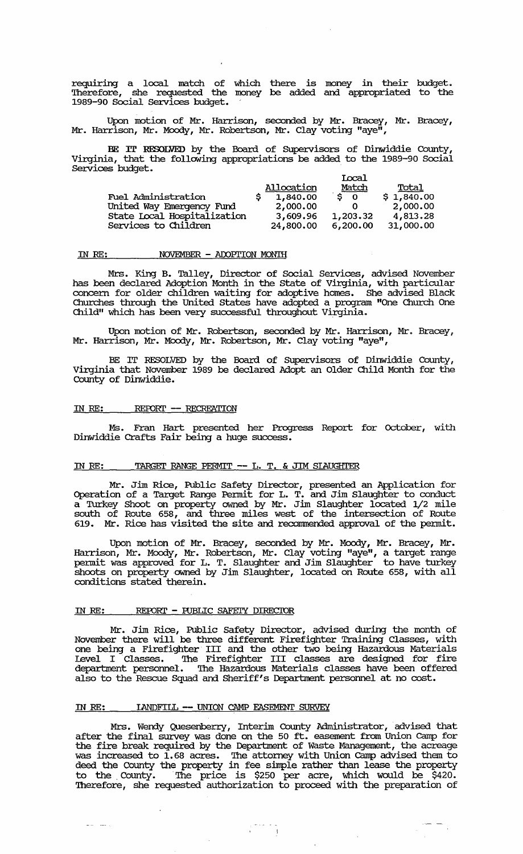requiring a local match of which there is money in their budget. '!herefore, she requested the money be added and. appropriated to the 1989-90 Social services budget.

Upon motion of Mr. Harrison, seconded by Mr. Bracey, Mr. Bracey, Mr. Harrison, Mr. Moody, Mr. Robertson, Mr. Clay voting "aye",

BE IT RESOLVED by the Board of SUpervisors of Dinwiddie County, Virginia, that the following appropriations be added to the 1989-90 Social Services budget. The contract of the services of  $\mathcal{L}$ 

|                             |                   | Iocal    |            |
|-----------------------------|-------------------|----------|------------|
|                             | <b>Allocation</b> | Match    | Total      |
| <b>Fuel Administration</b>  | 1,840.00          | $\sin 0$ | \$1,840.00 |
| United Way Emergency Fund   | 2,000.00          |          | 2,000.00   |
| State Local Hospitalization | 3,609.96          | 1,203.32 | 4,813.28   |
| Services to Children        | 24,800.00         | 6,200.00 | 31,000.00  |

#### IN *RE:*  NOVEMBER - AOOPI'ION MONTH

Mrs. King B. Talley, Director of Social Services, advised November has been declared Adoption Month in the state of Virginia, with particular concern for older children waiting for adoptive homes. She advised Black Churches through the united states have adopted a program "One Church One Child" which has been very successful throughout Virginia.

Upon motion of Mr. Robertson, seconded by Mr. Harrison, Mr. Bracey, Mr. Harrison, Mr. Moody, Mr. Robertson, Mr. Clay voting "aye",

BE IT RESOLVED by the Board of SUpervisors of Dinwiddie County, Virginia that November 1989 be declared Adopt an Older Child Month for the County of Dinwiddie.

#### IN RE: REPORT -- RECREATION

Ms. Fran Hart presented her Progress Report for October, with Dinwiddie Crafts Fair being a huge success.

# IN RE: TARGET RANGE PERMIT -- L. T. & JIM SIAUGHTER

Mr. Jim Rice, Public Safety Director, presented an Application for Operation of a Target Range Pennit for L. T. and. Jim Slaughter to conduct a Turkey Shoot on property owned by Mr. Jim Slaughter located 1/2 mile south of Route 658, and. three miles west of the intersection of Route 619. Mr. Rice has visited the site and recommended approval of the permit.

Upon motion of Mr. Bracey, seconded by Mr. Moody, Mr. Bracey, Mr. Harrison, Mr. Moody, Mr. Robertson, Mr. Clay voting "aye", a target range pennit was approved for L. T. Slaughter and' Jim Slaughter to have turkey shoots on property owned by Jim Slaughter, located on Route 658, with all conditions stated therein.

# IN RE: REPORT - FUBLIC SAFETY DIRECTOR

Mr. Jim Rice, Public Safety Director, advised during the month of November there will be three different Firefighter Training Classes, with one being a Firefighter III and the other two being Hazardous Materials Level I Classes. '!he Firefighter III classes are designed for fire department personnel. '!he Hazardous Materials classes have been offered also to the Rescue Squad and. Sheriff's Department personnel at no cost.

# IN RE: **IANDFIIL -- UNION CAMP EASEMENT SURVEY**

 $\mathbf{L} = \mathbf{L} \cdot \mathbf{L} \cdot \mathbf{L}$ 

Mrs. Wendy Quesenberry, Interim County Administrator, advised that after the final survey was done on the 50 ft. easement from union camp for the fire break required by the Department of Waste Management, the acreage was increased to 1.68 acres. The attorney with Union Camp advised them to deed the County the property in fee simple rather than lease the property to the County. The price is \$250 per acre, which would be \$420. to the County. The price is \$250 per acre, which would be \$420.<br>Therefore, she requested authorization to proceed with the preparation of

 $\frac{1}{\sqrt{2}}\frac{1}{\sqrt{2}}\frac{1}{\sqrt{2}}$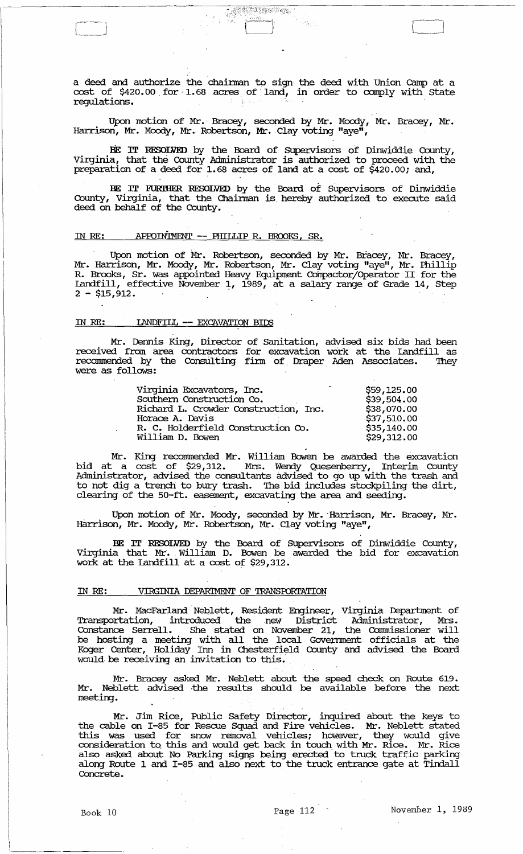a deed and authorize the chairman to sign the deed with Union Camp at a cost of \$420.00 for 1.68 acres of land, in order to comply with State regulatiens.

**AND MORE** 

Upon motion of Mr. Bracey, seconded by Mr. Moody, Mr. Bracey, Mr. Harrison, Mr. Moody, Mr. Robertson, Mr. Clay voting "aye<sup>n</sup>,

BE IT RESOLVED by the Board of Supervisors of Dinwiddie County, Virginia, that the County Administrator is authorized to proceed with the preparation of a deed for 1.68 acres of land at a cost of \$420.00; and,

BE IT FURTHER RESOLVED by the Board of Supervisors of Dinwiddie County, Virginia, that the Chairman is hereby authorized to execute said deed on behalf of the County.

# IN RE: APPOINIMENT -- PHILLIP R. BROOKS, SR.

Upon motion of Mr. Robertson, seconded by Mr. Bracey, Mr. Bracey, Mr. Harrison, Mr. Moody, Mr. Robertson, Mr. Clay voting "aye", Mr. Phillip R. Brooks, Sr. was appointed Heavy Equipment Compactor/Operator II for the Landfill, effective November 1, 1989, at a salary range of Grade 14, Step  $2 - $15,912.$ 

## IN RE: **IANDFILL -- EXCAVATION BIDS**

Mr. Dennis King, Director of Sanitation, advised six bids had been received from area contracters fer excavatien werk at the landfill as recommended by the Consulting firm of Draper Aden Associates. They were as follows:  $\frac{1}{2}$ 

| Virginia Excavators, Inc.             | \$59,125.00 |
|---------------------------------------|-------------|
| Southern Construction Co.             | \$39,504.00 |
| Richard L. Crowder Construction, Inc. | \$38,070.00 |
| Horace A. Davis                       | \$37,510.00 |
| R. C. Holderfield Construction Co.    | \$35,140.00 |
| William D. Bowen                      | \$29,312.00 |

Mr. King recommended Mr. William Bowen be awarded the excavation bid at a cost of \$29,312. Mrs. Wendy Quesenberry, Interim County Administrator, advised the consultants advised to go up with the trash and to not dig a trench to bury trash. The bid includes stockpiling the dirt, clearing of the 50-ft. easement, excavating the area and seeding.

Upon motion of Mr. Moody, seconded by Mr. Harrison, Mr. Bracey, Mr. Harrison, Mr. Moody, Mr. Robertson, Mr. Clay voting "aye",

BE IT RESOLVED by the Board of Supervisors of Dinwiddie County, Virginia that Mr. William D. Bowen be awarded the bid for excavation work at the Landfill at a cost of \$29,312.

#### IN RE: VIRGINIA DEPARIMENT OF TRANSPORTATION

Mr. MacFarland Neblett, Resident Engineer, Virginia Department of Transportation, introduced the new District Administrator, Mrs. Constance Serrell. She stated on November 21, the Commissioner will be hesting a meeting with all the local Govennnent efficials at the Koger Center, Heliday Inn in Chesterfield County and advised the Board would be receiving an invitation to this.

Mr. Bracey asked Mr. Neblett about the speed check on Route 619. Mr. Neblett advised the results should be available before the next meeting.

Mr. Jim Rice, Public Safety Director, inquired about the keys to. the cable on I-85 for Rescue Squad and Fire vehicles. Mr. Neblett stated this was used fer snow removal vehicles; however, they weuld give consideration to this and would get back in touch with Mr. Rice. Mr. Rice also asked about No. Parking signs being erected to truck traffic parking along Route 1 and I-85 and also next to the truck entrance gate at Tindall Concrete.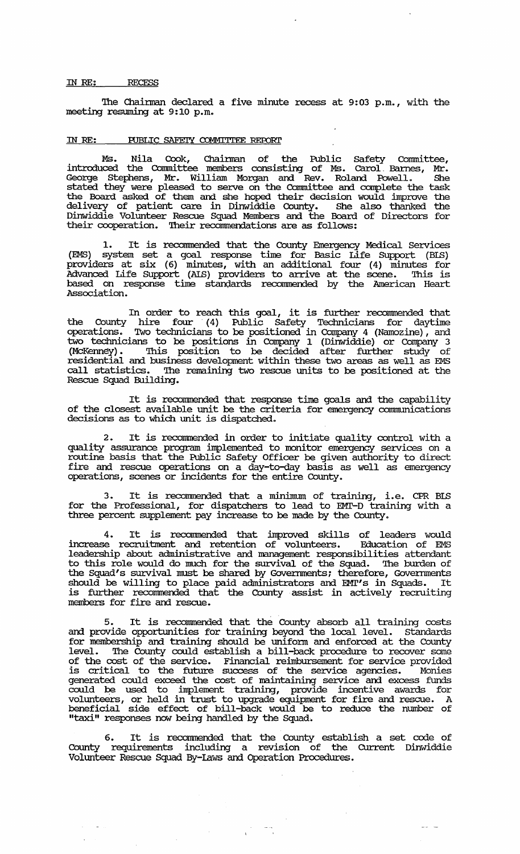#### IN RE: *RECESS*

The Chairman declared a five minute recess at 9:03 p.m., with the meeting resuming at 9: 10 p.m.

# IN RE: PUBLIC SAFEIY COMMITTEE REPORT

Ms. Nila Cook, Chainnan of the Public Safety conunittee, introduced the Conunittee members consisting of Ms. carol. Barnes, Mr. George Stephens, Mr. William Morgan and Rev. Roland Powell. She stated they were pleased to serve on the Conunittee and complete the task the Board asked of them and she hoped their decision would improve the delivery of patient care in Dinwiddie County. She also thanked the Dinwiddie Volunteer Rescue Squad Members and the Board of Directors for their cooperation. Their reconunendations are as follows:

1. It is reconunended that the County Emergency Medical services (EMS) system set a goal response time for Basic Life SUpport (BIB) providers at six (6) minutes, with an additional four (4) minutes for Advanced Life SUpport (AIS) providers to arrive at the scene. '!his is based on response time standards recommended by the American Heart Association.

In order to reach this goal, it is further reconunended that the County hire four' (4) Public Safety Teclmicians for daytime operations. Two technicians to be positioned in Company 4 (Namozine), and two technicians to be positions in Company 1 (Dinwiddie) or Company 3 (McKenney). This position to be decided after further study of residential and business development within these two areas as well as EMS call statistics. The remaining two rescue units to be positioned at the Rescue Squad Building.

It is reconunended that response time goals and the capability of the closest available unit be the criteria for emergency connmmications decisions as to which unit is dispatched.

2. It is reconunended in order to initiate quality control with a quality assurance program implemented to monitor emergency services on a routine basis that the Public Safety Officer be given authority to direct fire and rescue operations on a day-to-day basis as well as emergency operations, scenes or incidents for the entire County.

3. It is recommended that a minimum of training, i.e. CPR BLS for the Professional, for dispatchers to lead to EMT-D training with a three percent supplement pay increase to be made by the County.

4. It is reconunended that improved skills of leaders would increase recruitment and retention of volunteers. Education of EMS leadership about administrative and management responsibilities attendant to this role would do much for the smvival of the Squad. '!he burden of the Squad's survival must be shared by Governments; therefore, Governments should be willing to place paid administrators and EMI's in Squads. It is further reconnnended that the County assist in actively recruiting members for fire and rescue.

5. It is recommended that the County absorb all training costs and provide opportunities for training beyond the local level. Standards for membership and training should be uniform and enforced at the County level. The County could establish a bill-back procedure to recover some of the cost of the service. Financial reimbursement for service provided is critical to the future success of the service agencies. Monies generated could exceed the cost of maintaining service and excess funds could be used to implement training, provide incentive awards for volunteers, or held in trust to upgrade equipment for fire and. rescue. A beneficial side effect of bill-back would be to reduce the number of "taxi" responses now being handled by the Squad.

6. It is reconnnended that the County establish a set code of County requirements including a revision of the CUrrent Dinwiddie Volunteer Rescue Squad By-laws and. Operation Procedures.

 $\frac{1}{2} \frac{1}{2} \frac{1}{2} \frac{1}{2} \frac{1}{2} \frac{1}{2} \frac{1}{2} \frac{1}{2} \frac{1}{2} \frac{1}{2} \frac{1}{2} \frac{1}{2} \frac{1}{2} \frac{1}{2} \frac{1}{2} \frac{1}{2} \frac{1}{2} \frac{1}{2} \frac{1}{2} \frac{1}{2} \frac{1}{2} \frac{1}{2} \frac{1}{2} \frac{1}{2} \frac{1}{2} \frac{1}{2} \frac{1}{2} \frac{1}{2} \frac{1}{2} \frac{1}{2} \frac{1}{2} \frac{$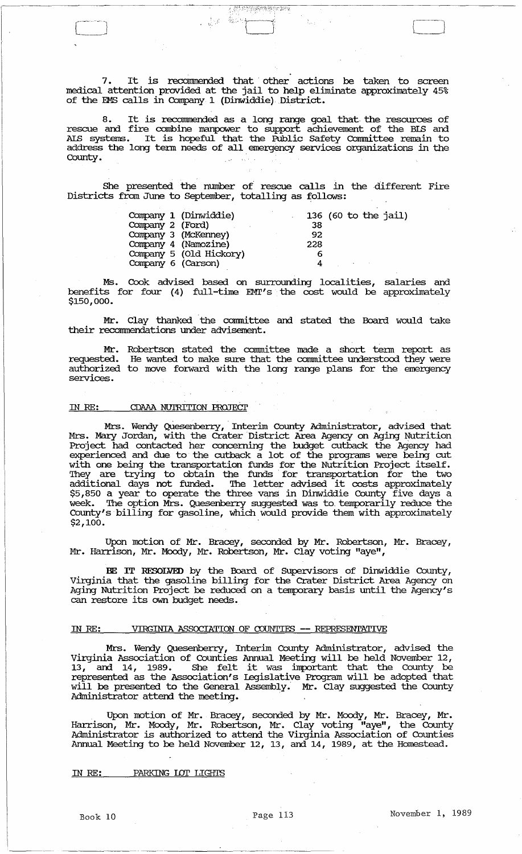7. It is recormnended that' other actions be taken to screen medical attention provided at the jail to help eliminate approximately 45% of the EMS calls in Company 1 (Dinwiddie) District.

TIJE DE STAND

**1 表达 電源性** 

8. It is reconnnended as a long range goal that the resources of rescue and fire combine manpower to support achievement of the BIS and AlB systems. It is hopeful that the Public Safety Conunittee remain to address the long term needs of all emergency services organizations in the County.

She presented the number of rescue calls in the different Fire Districts from June to September, totalling as follows:

|                      | Company 1 (Dinwiddie)   | 136 (60 to the jail) |
|----------------------|-------------------------|----------------------|
| Company 2 (Ford)     |                         | 38                   |
| Company 3 (McKenney) |                         | 92                   |
| Company 4 (Namozine) |                         | 228                  |
|                      | Company 5 (Old Hickory) |                      |
| Company 6 (Carson)   |                         |                      |

Ms. Cook advised based on surrounding localities, salaries and benefits for four (4) full-time EMT's the cost would be approximately \$150,000.

Mr. Clay thanked the committee and stated the Board would take their recommendations under advisement.

Mr. Robertson stated the cormnittee made a short tenn report as requested. He wanted to make sure that the committee understood they were requested. He wanted to make sure that the committee understood they were authorized to move forward with the long range plans for the emergency services.

## IN RE: CDAAA NUTRITION PROJECT

Mrs. Wendy Quesenberry, Interim County Administrator, advised that Mrs. Mary Jordan, with the Crater District Area Agency on Aging Nutrition Project had contacted her concerning the budget cutback the Agency had experienced and due to the cutback a lot of the programs were being cut with one being the transportation funds for the Nutrition Project itself. 'Ihey are trying to obtain the funds' for transportation for the two additional days not funded. 'Ihe letter advised it costs approxilnately the contract of the contract of the contract of the country five days a week. 'Ihe option Mrs. Quesenberry suggested was to\_ temporarily reduce the County's billing for gasoline, which would provide them with approximately  $$2,100.$  . The set of the set of the set of the set of the set of the set of the set of the set of the set of the set of the set of the set of the set of the set of the set of the set of the set of the set of the set of

Upon motion of Mr. Bracey, seconded by Mr. Robertson, Mr. Bracey, Mr. Harrison, Mr. Moody, Mr. Robertson, Mr. Clay voting "aye",

BE IT RESOLVED by the Board of Supervisors of Dinwiddie County, virginia that the gasoline billing for the Crater District Area Agency on Aging Nutrition Project be reduced on a temporary basis until the Agency's can restore its own budget needs.

# IN RE: VIRGINIA ASSOCIATION OF CDUNTIES -- REPRESENTATIVE

Mrs. Wendy Quesenberry, Interim County Administrator, advised the Virginia Association of Counties Annual Meeting will be held November 12, virginia Association of Counties Annual meeting will be held november 12,<br>13, and 14, 1989. She felt it was important that the County be represented as the Association's legislative Program will be adopted that will be presented to the General Assembly. Mr. Clay suggested the County Administrator attend the meeting.

Upon motion of Mr. Bracey, seconded by Mr. Moody, Mr. Bracey, Mr. Harrison, Mr. Moody, Mr. Robertson, Mr. Clay voting "aye", the County Administrator is authorized to attend the Virginia Association of Counties Annual Meeting to be held November 12, 13, and 14, 1989, at the Homestead.

IN RE: PARKING LOT LIGHTS

------------------------ ----------~-----